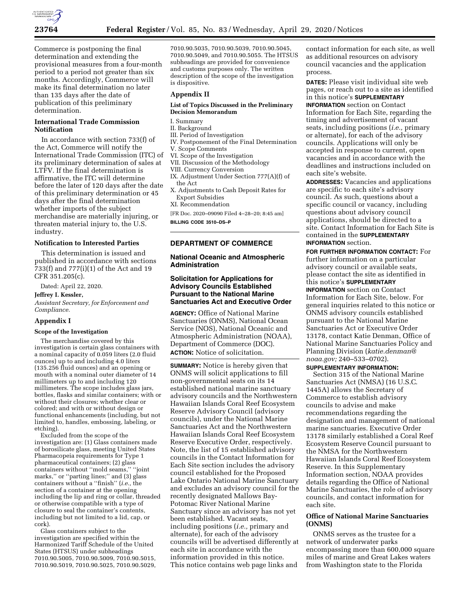

Commerce is postponing the final determination and extending the provisional measures from a four-month period to a period not greater than six months. Accordingly, Commerce will make its final determination no later than 135 days after the date of publication of this preliminary determination.

# **International Trade Commission Notification**

In accordance with section 733(f) of the Act, Commerce will notify the International Trade Commission (ITC) of its preliminary determination of sales at LTFV. If the final determination is affirmative, the ITC will determine before the later of 120 days after the date of this preliminary determination or 45 days after the final determination whether imports of the subject merchandise are materially injuring, or threaten material injury to, the U.S. industry.

## **Notification to Interested Parties**

This determination is issued and published in accordance with sections 733(f) and 777(i)(1) of the Act and 19 CFR 351.205(c).

Dated: April 22, 2020.

#### **Jeffrey I. Kessler,**

*Assistant Secretary, for Enforcement and Compliance.* 

#### **Appendix I**

#### **Scope of the Investigation**

The merchandise covered by this investigation is certain glass containers with a nominal capacity of 0.059 liters (2.0 fluid ounces) up to and including 4.0 liters (135.256 fluid ounces) and an opening or mouth with a nominal outer diameter of 14 millimeters up to and including 120 millimeters. The scope includes glass jars, bottles, flasks and similar containers; with or without their closures; whether clear or colored; and with or without design or functional enhancements (including, but not limited to, handles, embossing, labeling, or etching).

Excluded from the scope of the investigation are: (1) Glass containers made of borosilicate glass, meeting United States Pharmacopeia requirements for Type 1 pharmaceutical containers; (2) glass containers without ''mold seams,'' ''joint marks,'' or ''parting lines;'' and (3) glass containers without a ''finish'' (*i.e.,* the section of a container at the opening including the lip and ring or collar, threaded or otherwise compatible with a type of closure to seal the container's contents, including but not limited to a lid, cap, or cork).

Glass containers subject to the investigation are specified within the Harmonized Tariff Schedule of the United States (HTSUS) under subheadings 7010.90.5005, 7010.90.5009, 7010.90.5015, 7010.90.5019, 7010.90.5025, 7010.90.5029, 7010.90.5035, 7010.90.5039, 7010.90.5045, 7010.90.5049, and 7010.90.5055. The HTSUS subheadings are provided for convenience and customs purposes only. The written description of the scope of the investigation is dispositive.

#### **Appendix II**

### **List of Topics Discussed in the Preliminary Decision Memorandum**

# I. Summary

# II. Background

- III. Period of Investigation
- IV. Postponement of the Final Determination
- V. Scope Comments
- VI. Scope of the Investigation
- VII. Discussion of the Methodology
- VIII. Currency Conversion
- IX. Adjustment Under Section 777(A)(f) of the Act
- X. Adjustments to Cash Deposit Rates for Export Subsidies
- XI. Recommendation
- [FR Doc. 2020–09090 Filed 4–28–20; 8:45 am]
- **BILLING CODE 3510–DS–P**

#### **DEPARTMENT OF COMMERCE**

### **National Oceanic and Atmospheric Administration**

## **Solicitation for Applications for Advisory Councils Established Pursuant to the National Marine Sanctuaries Act and Executive Order**

**AGENCY:** Office of National Marine Sanctuaries (ONMS), National Ocean Service (NOS), National Oceanic and Atmospheric Administration (NOAA), Department of Commerce (DOC). **ACTION:** Notice of solicitation.

**SUMMARY:** Notice is hereby given that ONMS will solicit applications to fill non-governmental seats on its 14 established national marine sanctuary advisory councils and the Northwestern Hawaiian Islands Coral Reef Ecosystem Reserve Advisory Council (advisory councils), under the National Marine Sanctuaries Act and the Northwestern Hawaiian Islands Coral Reef Ecosystem Reserve Executive Order, respectively. Note, the list of 15 established advisory councils in the Contact Information for Each Site section includes the advisory council established for the Proposed Lake Ontario National Marine Sanctuary and excludes an advisory council for the recently designated Mallows Bay-Potomac River National Marine Sanctuary since an advisory has not yet been established. Vacant seats, including positions (*i.e.,* primary and alternate), for each of the advisory councils will be advertised differently at each site in accordance with the information provided in this notice. This notice contains web page links and

contact information for each site, as well as additional resources on advisory council vacancies and the application process.

**DATES:** Please visit individual site web pages, or reach out to a site as identified in this notice's **SUPPLEMENTARY INFORMATION** section on Contact Information for Each Site, regarding the timing and advertisement of vacant seats, including positions (*i.e.,* primary or alternate), for each of the advisory councils. Applications will only be accepted in response to current, open vacancies and in accordance with the deadlines and instructions included on each site's website.

**ADDRESSES:** Vacancies and applications are specific to each site's advisory council. As such, questions about a specific council or vacancy, including questions about advisory council applications, should be directed to a site. Contact Information for Each Site is contained in the **SUPPLEMENTARY INFORMATION** section.

**FOR FURTHER INFORMATION CONTACT:** For further information on a particular advisory council or available seats, please contact the site as identified in this notice's **SUPPLEMENTARY INFORMATION** section on Contact Information for Each Site, below. For general inquiries related to this notice or ONMS advisory councils established pursuant to the National Marine Sanctuaries Act or Executive Order 13178, contact Katie Denman, Office of National Marine Sanctuaries Policy and Planning Division (*[katie.denman@](mailto:katie.denman@noaa.gov) [noaa.gov;](mailto:katie.denman@noaa.gov)* 240–533–0702).

### **SUPPLEMENTARY INFORMATION:**

Section 315 of the National Marine Sanctuaries Act (NMSA) (16 U.S.C. 1445A) allows the Secretary of Commerce to establish advisory councils to advise and make recommendations regarding the designation and management of national marine sanctuaries. Executive Order 13178 similarly established a Coral Reef Ecosystem Reserve Council pursuant to the NMSA for the Northwestern Hawaiian Islands Coral Reef Ecosystem Reserve. In this Supplementary Information section, NOAA provides details regarding the Office of National Marine Sanctuaries, the role of advisory councils, and contact information for each site.

### **Office of National Marine Sanctuaries (ONMS)**

ONMS serves as the trustee for a network of underwater parks encompassing more than 600,000 square miles of marine and Great Lakes waters from Washington state to the Florida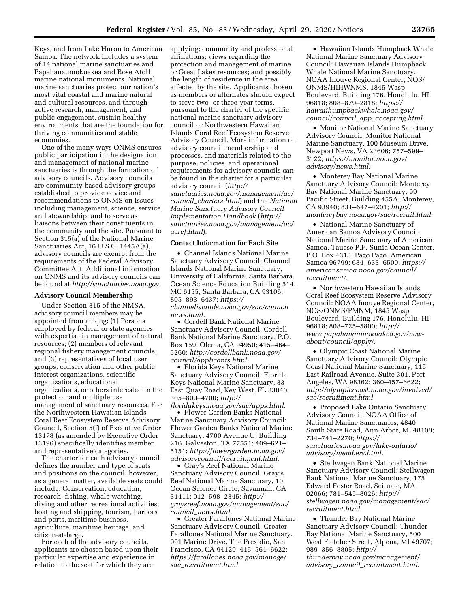Keys, and from Lake Huron to American Samoa. The network includes a system of 14 national marine sanctuaries and Papahanaumokuakea and Rose Atoll marine national monuments. National marine sanctuaries protect our nation's most vital coastal and marine natural and cultural resources, and through active research, management, and public engagement, sustain healthy environments that are the foundation for thriving communities and stable economies.

One of the many ways ONMS ensures public participation in the designation and management of national marine sanctuaries is through the formation of advisory councils. Advisory councils are community-based advisory groups established to provide advice and recommendations to ONMS on issues including management, science, service, and stewardship; and to serve as liaisons between their constituents in the community and the site. Pursuant to Section 315(a) of the National Marine Sanctuaries Act, 16 U.S.C. 1445A(a), advisory councils are exempt from the requirements of the Federal Advisory Committee Act. Additional information on ONMS and its advisory councils can be found at *[http://sanctuaries.noaa.gov.](http://sanctuaries.noaa.gov)* 

### **Advisory Council Membership**

Under Section 315 of the NMSA, advisory council members may be appointed from among: (1) Persons employed by federal or state agencies with expertise in management of natural resources; (2) members of relevant regional fishery management councils; and (3) representatives of local user groups, conservation and other public interest organizations, scientific organizations, educational organizations, or others interested in the protection and multiple use management of sanctuary resources. For the Northwestern Hawaiian Islands Coral Reef Ecosystem Reserve Advisory Council, Section 5(f) of Executive Order 13178 (as amended by Executive Order 13196) specifically identifies member and representative categories.

The charter for each advisory council defines the number and type of seats and positions on the council; however, as a general matter, available seats could include: Conservation, education, research, fishing, whale watching, diving and other recreational activities, boating and shipping, tourism, harbors and ports, maritime business, agriculture, maritime heritage, and citizen-at-large.

For each of the advisory councils, applicants are chosen based upon their particular expertise and experience in relation to the seat for which they are

applying; community and professional affiliations; views regarding the protection and management of marine or Great Lakes resources; and possibly the length of residence in the area affected by the site. Applicants chosen as members or alternates should expect to serve two- or three-year terms, pursuant to the charter of the specific national marine sanctuary advisory council or Northwestern Hawaiian Islands Coral Reef Ecosystem Reserve Advisory Council. More information on advisory council membership and processes, and materials related to the purpose, policies, and operational requirements for advisory councils can be found in the charter for a particular advisory council (*[http://](http://sanctuaries.noaa.gov/management/ac/council_charters.html) [sanctuaries.noaa.gov/management/ac/](http://sanctuaries.noaa.gov/management/ac/council_charters.html)  council*\_*[charters.html](http://sanctuaries.noaa.gov/management/ac/council_charters.html)*) and the *National Marine Sanctuary Advisory Council Implementation Handbook* (*[http://](http://sanctuaries.noaa.gov/management/ac/acref.html) [sanctuaries.noaa.gov/management/ac/](http://sanctuaries.noaa.gov/management/ac/acref.html)  [acref.html](http://sanctuaries.noaa.gov/management/ac/acref.html)*).

#### **Contact Information for Each Site**

• Channel Islands National Marine Sanctuary Advisory Council: Channel Islands National Marine Sanctuary, University of California, Santa Barbara, Ocean Science Education Building 514, MC 6155, Santa Barbara, CA 93106; 805–893–6437; *[https://](https://channelislands.noaa.gov/sac/council_news.html) [channelislands.noaa.gov/sac/council](https://channelislands.noaa.gov/sac/council_news.html)*\_ *[news.html.](https://channelislands.noaa.gov/sac/council_news.html)* 

• Cordell Bank National Marine Sanctuary Advisory Council: Cordell Bank National Marine Sanctuary, P.O. Box 159, Olema, CA 94950; 415–464– 5260; *[http://cordellbank.noaa.gov/](http://cordellbank.noaa.gov/council/applicants.html)  [council/applicants.html.](http://cordellbank.noaa.gov/council/applicants.html)* 

• Florida Keys National Marine Sanctuary Advisory Council: Florida Keys National Marine Sanctuary, 33 East Quay Road, Key West, FL 33040; 305–809–4700; *[http://](http://floridakeys.noaa.gov/sac/apps.html)*

*[floridakeys.noaa.gov/sac/apps.html.](http://floridakeys.noaa.gov/sac/apps.html)*  • Flower Garden Banks National Marine Sanctuary Advisory Council: Flower Garden Banks National Marine Sanctuary, 4700 Avenue U, Building 216, Galveston, TX 77551; 409–621– 5151; *[http://flowergarden.noaa.gov/](http://flowergarden.noaa.gov/advisorycouncil/recruitment.html)  [advisorycouncil/recruitment.html.](http://flowergarden.noaa.gov/advisorycouncil/recruitment.html)* 

• Gray's Reef National Marine Sanctuary Advisory Council: Gray's Reef National Marine Sanctuary, 10 Ocean Science Circle, Savannah, GA 31411; 912–598–2345; *[http://](http://graysreef.noaa.gov/management/sac/council_news.html) [graysreef.noaa.gov/management/sac/](http://graysreef.noaa.gov/management/sac/council_news.html) council*\_*[news.html.](http://graysreef.noaa.gov/management/sac/council_news.html)* 

• Greater Farallones National Marine Sanctuary Advisory Council: Greater Farallones National Marine Sanctuary, 991 Marine Drive, The Presidio, San Francisco, CA 94129; 415–561–6622; *[https://farallones.noaa.gov/manage/](https://farallones.noaa.gov/manage/sac_recruitment.html)  sac*\_*[recruitment.html.](https://farallones.noaa.gov/manage/sac_recruitment.html)* 

• Hawaiian Islands Humpback Whale National Marine Sanctuary Advisory Council: Hawaiian Islands Humpback Whale National Marine Sanctuary, NOAA Inouye Regional Center, NOS/ ONMS/HIHWNMS, 1845 Wasp Boulevard, Building 176, Honolulu, HI 96818; 808–879–2818; *[https://](https://hawaiihumpbackwhale.noaa.gov/council/council_app_accepting.html) [hawaiihumpbackwhale.noaa.gov/](https://hawaiihumpbackwhale.noaa.gov/council/council_app_accepting.html)  [council/council](https://hawaiihumpbackwhale.noaa.gov/council/council_app_accepting.html)*\_*app*\_*accepting.html.* 

• Monitor National Marine Sanctuary Advisory Council: Monitor National Marine Sanctuary, 100 Museum Drive, Newport News, VA 23606; 757–599– 3122; *[https://monitor.noaa.gov/](https://monitor.noaa.gov/advisory/news.html)  [advisory/news.html.](https://monitor.noaa.gov/advisory/news.html)* 

• Monterey Bay National Marine Sanctuary Advisory Council: Monterey Bay National Marine Sanctuary, 99 Pacific Street, Building 455A, Monterey, CA 93940; 831–647–4201; *[http://](http://montereybay.noaa.gov/sac/recruit.html) [montereybay.noaa.gov/sac/recruit.html.](http://montereybay.noaa.gov/sac/recruit.html)* 

• National Marine Sanctuary of American Samoa Advisory Council: National Marine Sanctuary of American Samoa, Tauese P.F. Sunia Ocean Center, P.O. Box 4318, Pago Pago, American Samoa 96799; 684–633–6500; *[https://](https://americansamoa.noaa.gov/council/recruitment/) [americansamoa.noaa.gov/council/](https://americansamoa.noaa.gov/council/recruitment/) [recruitment/.](https://americansamoa.noaa.gov/council/recruitment/)* 

• Northwestern Hawaiian Islands Coral Reef Ecosystem Reserve Advisory Council: NOAA Inouye Regional Center, NOS/ONMS/PMNM, 1845 Wasp Boulevard, Building 176, Honolulu, HI 96818; 808–725–5800; *[http://](http://www.papahanaumokuakea.gov/new-about/council/apply/) [www.papahanaumokuakea.gov/new](http://www.papahanaumokuakea.gov/new-about/council/apply/)[about/council/apply/.](http://www.papahanaumokuakea.gov/new-about/council/apply/)* 

• Olympic Coast National Marine Sanctuary Advisory Council: Olympic Coast National Marine Sanctuary, 115 East Railroad Avenue, Suite 301, Port Angeles, WA 98362; 360–457–6622; *[http://olympiccoast.noaa.gov/involved/](http://olympiccoast.noaa.gov/involved/sac/recruitment.html)  [sac/recruitment.html.](http://olympiccoast.noaa.gov/involved/sac/recruitment.html)* 

• Proposed Lake Ontario Sanctuary Advisory Council; NOAA Office of National Marine Sanctuaries, 4840 South State Road, Ann Arbor, MI 48108; 734–741–2270; *[https://](https://sanctuaries.noaa.gov/lake-ontario/advisory/members.html) [sanctuaries.noaa.gov/lake-ontario/](https://sanctuaries.noaa.gov/lake-ontario/advisory/members.html) [advisory/members.html.](https://sanctuaries.noaa.gov/lake-ontario/advisory/members.html)* 

• Stellwagen Bank National Marine Sanctuary Advisory Council: Stellwagen Bank National Marine Sanctuary, 175 Edward Foster Road, Scituate, MA 02066; 781–545–8026; *[http://](http://stellwagen.noaa.gov/management/sac/recruitment.html) [stellwagen.noaa.gov/management/sac/](http://stellwagen.noaa.gov/management/sac/recruitment.html)  [recruitment.html.](http://stellwagen.noaa.gov/management/sac/recruitment.html)* 

• Thunder Bay National Marine Sanctuary Advisory Council: Thunder Bay National Marine Sanctuary, 500 West Fletcher Street, Alpena, MI 49707; 989–356–8805; *[http://](http://thunderbay.noaa.gov/management/advisory_council_recruitment.html) [thunderbay.noaa.gov/management/](http://thunderbay.noaa.gov/management/advisory_council_recruitment.html)  advisory*\_*council*\_*[recruitment.html.](http://thunderbay.noaa.gov/management/advisory_council_recruitment.html)*